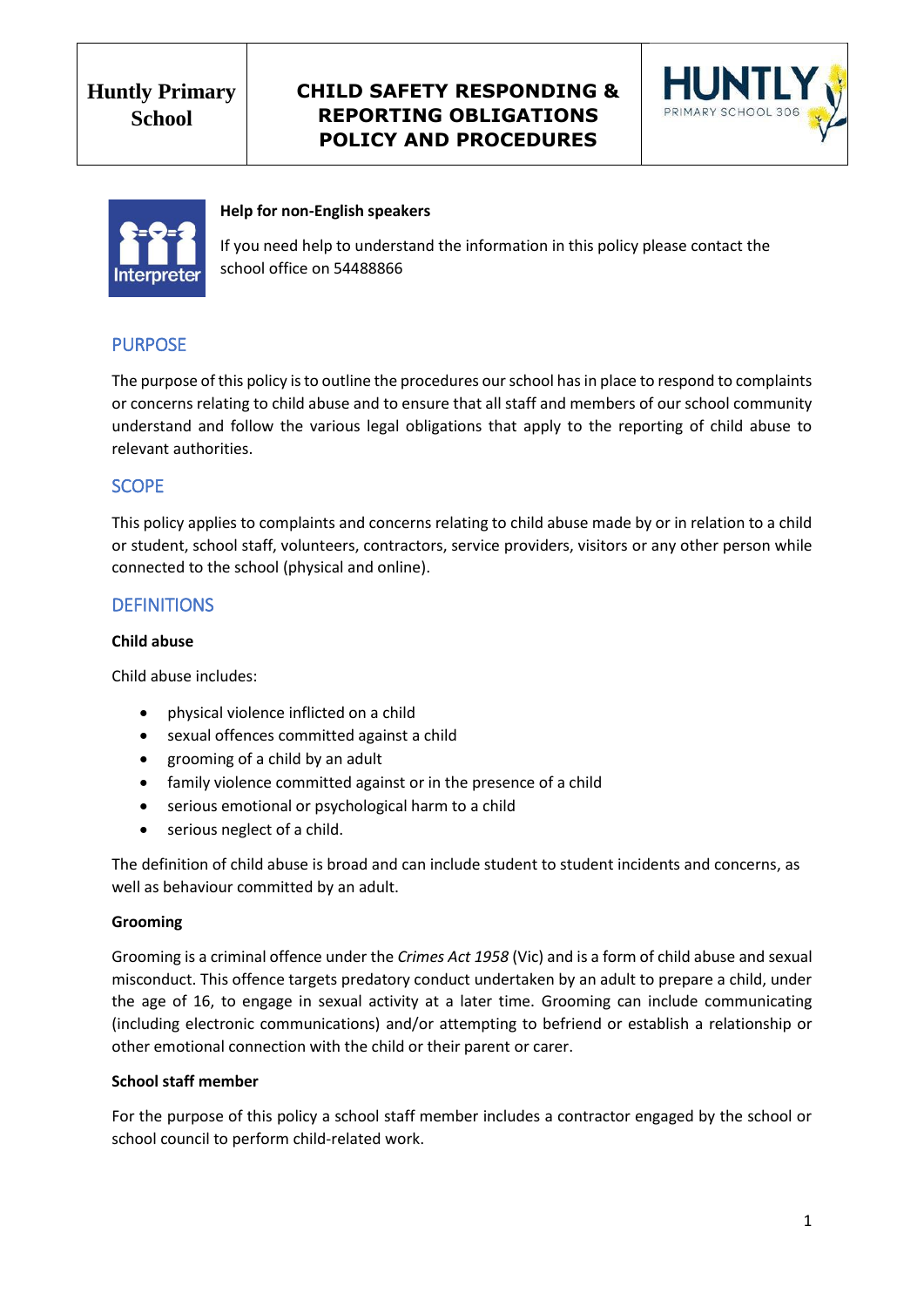# **CHILD SAFETY RESPONDING & REPORTING OBLIGATIONS POLICY AND PROCEDURES**





#### **Help for non-English speakers**

If you need help to understand the information in this policy please contact the school office on 54488866

# PURPOSE

The purpose of this policy is to outline the procedures our school has in place to respond to complaints or concerns relating to child abuse and to ensure that all staff and members of our school community understand and follow the various legal obligations that apply to the reporting of child abuse to relevant authorities.

### **SCOPE**

This policy applies to complaints and concerns relating to child abuse made by or in relation to a child or student, school staff, volunteers, contractors, service providers, visitors or any other person while connected to the school (physical and online).

### **DEFINITIONS**

#### **Child abuse**

Child abuse includes:

- physical violence inflicted on a child
- sexual offences committed against a child
- grooming of a child by an adult
- family violence committed against or in the presence of a child
- serious emotional or psychological harm to a child
- serious neglect of a child.

The definition of child abuse is broad and can include student to student incidents and concerns, as well as behaviour committed by an adult.

#### **Grooming**

Grooming is a criminal offence under the *Crimes Act 1958* (Vic) and is a form of child abuse and sexual misconduct. This offence targets predatory conduct undertaken by an adult to prepare a child, under the age of 16, to engage in sexual activity at a later time. Grooming can include communicating (including electronic communications) and/or attempting to befriend or establish a relationship or other emotional connection with the child or their parent or carer.

#### **School staff member**

For the purpose of this policy a school staff member includes a contractor engaged by the school or school council to perform child-related work.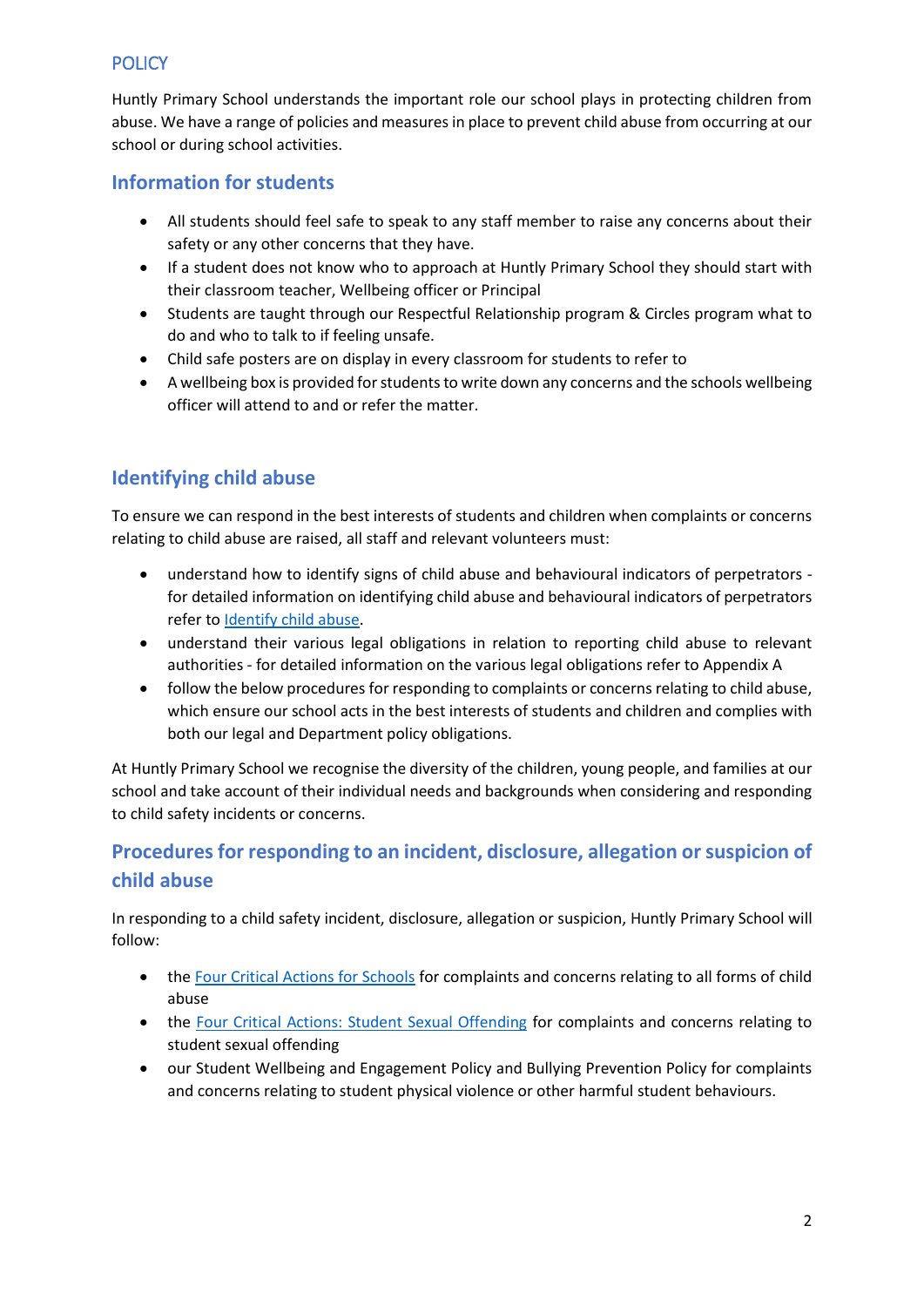# **POLICY**

Huntly Primary School understands the important role our school plays in protecting children from abuse. We have a range of policies and measures in place to prevent child abuse from occurring at our school or during school activities.

# **Information for students**

- All students should feel safe to speak to any staff member to raise any concerns about their safety or any other concerns that they have.
- If a student does not know who to approach at Huntly Primary School they should start with their classroom teacher, Wellbeing officer or Principal
- Students are taught through our Respectful Relationship program & Circles program what to do and who to talk to if feeling unsafe.
- Child safe posters are on display in every classroom for students to refer to
- A wellbeing box is provided for students to write down any concerns and the schools wellbeing officer will attend to and or refer the matter.

# **Identifying child abuse**

To ensure we can respond in the best interests of students and children when complaints or concerns relating to child abuse are raised, all staff and relevant volunteers must:

- understand how to identify signs of child abuse and behavioural indicators of perpetrators for detailed information on identifying child abuse and behavioural indicators of perpetrators refer to [Identify child abuse.](https://www.education.vic.gov.au/school/teachers/health/childprotection/Pages/identify.aspx)
- understand their various legal obligations in relation to reporting child abuse to relevant authorities - for detailed information on the various legal obligations refer to Appendix A
- follow the below procedures for responding to complaints or concerns relating to child abuse, which ensure our school acts in the best interests of students and children and complies with both our legal and Department policy obligations.

At Huntly Primary School we recognise the diversity of the children, young people, and families at our school and take account of their individual needs and backgrounds when considering and responding to child safety incidents or concerns.

# **Procedures for responding to an incident, disclosure, allegation or suspicion of child abuse**

In responding to a child safety incident, disclosure, allegation or suspicion, Huntly Primary School will follow:

- th[e Four Critical Actions for Schools](https://www.education.vic.gov.au/Documents/about/programs/health/protect/FourCriticalActions_ChildAbuse.pdf) for complaints and concerns relating to all forms of child abuse
- the [Four Critical Actions: Student Sexual Offending](https://www.education.vic.gov.au/school/teachers/health/childprotection/Pages/stusexual.aspx) for complaints and concerns relating to student sexual offending
- our Student Wellbeing and Engagement Policy and Bullying Prevention Policy for complaints and concerns relating to student physical violence or other harmful student behaviours.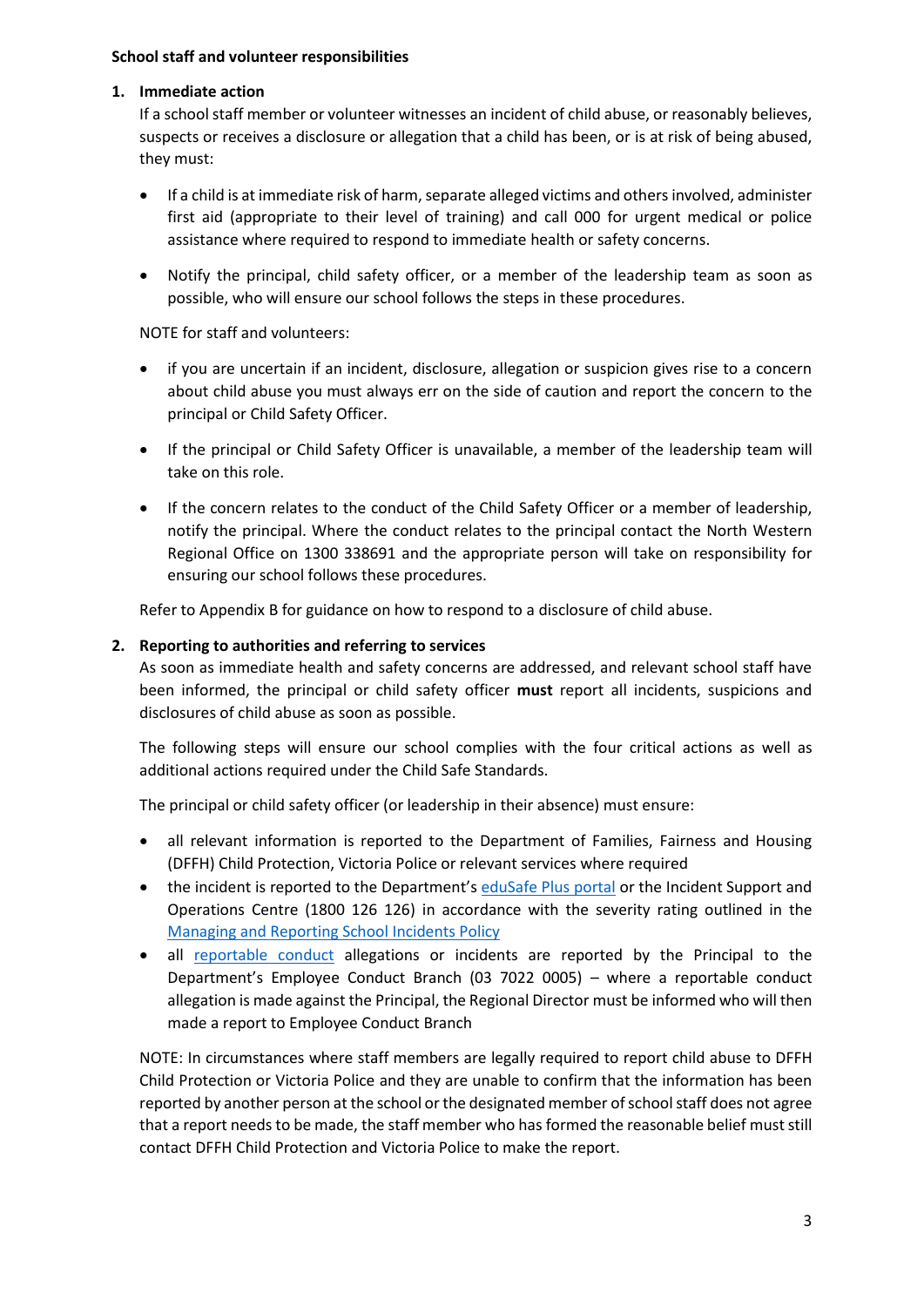#### **School staff and volunteer responsibilities**

#### **1. Immediate action**

If a school staff member or volunteer witnesses an incident of child abuse, or reasonably believes, suspects or receives a disclosure or allegation that a child has been, or is at risk of being abused, they must:

- If a child is at immediate risk of harm, separate alleged victims and others involved, administer first aid (appropriate to their level of training) and call 000 for urgent medical or police assistance where required to respond to immediate health or safety concerns.
- Notify the principal, child safety officer, or a member of the leadership team as soon as possible, who will ensure our school follows the steps in these procedures.

NOTE for staff and volunteers:

- if you are uncertain if an incident, disclosure, allegation or suspicion gives rise to a concern about child abuse you must always err on the side of caution and report the concern to the principal or Child Safety Officer.
- If the principal or Child Safety Officer is unavailable, a member of the leadership team will take on this role.
- If the concern relates to the conduct of the Child Safety Officer or a member of leadership, notify the principal. Where the conduct relates to the principal contact the North Western Regional Office on 1300 338691 and the appropriate person will take on responsibility for ensuring our school follows these procedures.

Refer to Appendix B for guidance on how to respond to a disclosure of child abuse.

#### **2. Reporting to authorities and referring to services**

As soon as immediate health and safety concerns are addressed, and relevant school staff have been informed, the principal or child safety officer **must** report all incidents, suspicions and disclosures of child abuse as soon as possible.

The following steps will ensure our school complies with the four critical actions as well as additional actions required under the Child Safe Standards.

The principal or child safety officer (or leadership in their absence) must ensure:

- all relevant information is reported to the Department of Families, Fairness and Housing (DFFH) Child Protection, Victoria Police or relevant services where required
- the incident is reported to the Department's [eduSafe Plus portal](https://services.educationapps.vic.gov.au/edusafeplus) or the Incident Support and Operations Centre (1800 126 126) in accordance with the severity rating outlined in the [Managing and Reporting School Incidents Policy](https://www2.education.vic.gov.au/pal/reporting-and-managing-school-incidents-including-emergencies/policy)
- all [reportable conduct](https://www2.education.vic.gov.au/pal/reportable-conduct-scheme/policy) allegations or incidents are reported by the Principal to the Department's Employee Conduct Branch (03 7022 0005) – where a reportable conduct allegation is made against the Principal, the Regional Director must be informed who will then made a report to Employee Conduct Branch

NOTE: In circumstances where staff members are legally required to report child abuse to DFFH Child Protection or Victoria Police and they are unable to confirm that the information has been reported by another person at the school or the designated member of school staff does not agree that a report needs to be made, the staff member who has formed the reasonable belief must still contact DFFH Child Protection and Victoria Police to make the report.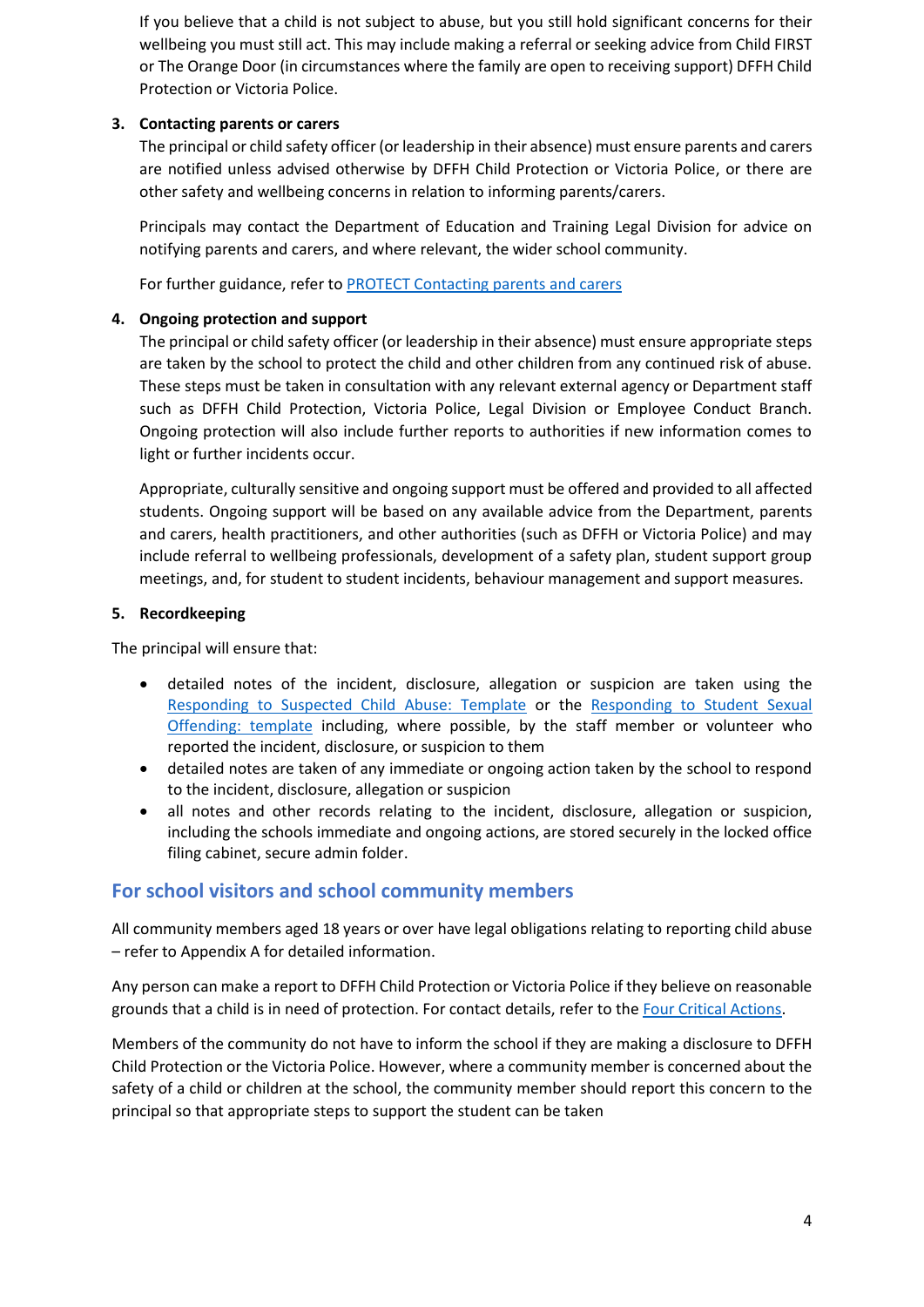If you believe that a child is not subject to abuse, but you still hold significant concerns for their wellbeing you must still act. This may include making a referral or seeking advice from Child FIRST or The Orange Door (in circumstances where the family are open to receiving support) DFFH Child Protection or Victoria Police.

### **3. Contacting parents or carers**

The principal or child safety officer (or leadership in their absence) must ensure parents and carers are notified unless advised otherwise by DFFH Child Protection or Victoria Police, or there are other safety and wellbeing concerns in relation to informing parents/carers.

Principals may contact the Department of Education and Training Legal Division for advice on notifying parents and carers, and where relevant, the wider school community.

For further guidance, refer to [PROTECT Contacting parents and carers](https://www.education.vic.gov.au/school/teachers/health/childprotection/Pages/actionthree.aspx)

#### **4. Ongoing protection and support**

The principal or child safety officer (or leadership in their absence) must ensure appropriate steps are taken by the school to protect the child and other children from any continued risk of abuse. These steps must be taken in consultation with any relevant external agency or Department staff such as DFFH Child Protection, Victoria Police, Legal Division or Employee Conduct Branch. Ongoing protection will also include further reports to authorities if new information comes to light or further incidents occur.

Appropriate, culturally sensitive and ongoing support must be offered and provided to all affected students. Ongoing support will be based on any available advice from the Department, parents and carers, health practitioners, and other authorities (such as DFFH or Victoria Police) and may include referral to wellbeing professionals, development of a safety plan, student support group meetings, and, for student to student incidents, behaviour management and support measures.

#### **5. Recordkeeping**

The principal will ensure that:

- detailed notes of the incident, disclosure, allegation or suspicion are taken using the [Responding to Suspected Child Abuse: Template](https://www.education.vic.gov.au/Documents/about/programs/health/protect/PROTECT_Schoolstemplate.pdf) or the [Responding to Student Sexual](https://www.education.vic.gov.au/Documents/about/programs/health/protect/SSO_ReportingTemplate.docx)  [Offending: template](https://www.education.vic.gov.au/Documents/about/programs/health/protect/SSO_ReportingTemplate.docx) including, where possible, by the staff member or volunteer who reported the incident, disclosure, or suspicion to them
- detailed notes are taken of any immediate or ongoing action taken by the school to respond to the incident, disclosure, allegation or suspicion
- all notes and other records relating to the incident, disclosure, allegation or suspicion, including the schools immediate and ongoing actions, are stored securely in the locked office filing cabinet, secure admin folder.

# **For school visitors and school community members**

All community members aged 18 years or over have legal obligations relating to reporting child abuse – refer to Appendix A for detailed information.

Any person can make a report to DFFH Child Protection or Victoria Police if they believe on reasonable grounds that a child is in need of protection. For contact details, refer to the [Four Critical Actions.](https://www.education.vic.gov.au/Documents/about/programs/health/protect/FourCriticalActions_ChildAbuse.pdf)

Members of the community do not have to inform the school if they are making a disclosure to DFFH Child Protection or the Victoria Police. However, where a community member is concerned about the safety of a child or children at the school, the community member should report this concern to the principal so that appropriate steps to support the student can be taken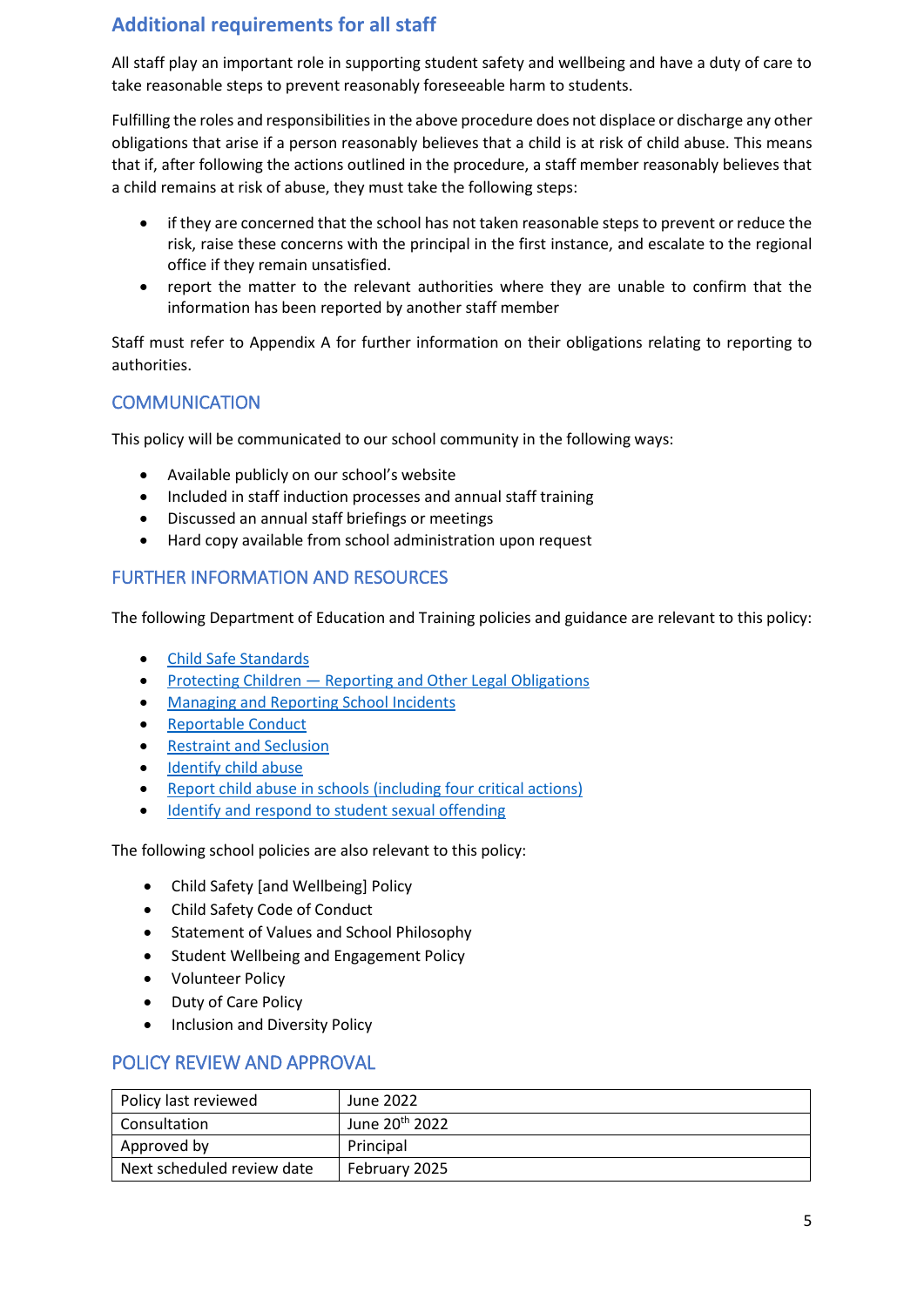# **Additional requirements for all staff**

All staff play an important role in supporting student safety and wellbeing and have a duty of care to take reasonable steps to prevent reasonably foreseeable harm to students.

Fulfilling the roles and responsibilities in the above procedure does not displace or discharge any other obligations that arise if a person reasonably believes that a child is at risk of child abuse. This means that if, after following the actions outlined in the procedure, a staff member reasonably believes that a child remains at risk of abuse, they must take the following steps:

- if they are concerned that the school has not taken reasonable steps to prevent or reduce the risk, raise these concerns with the principal in the first instance, and escalate to the regional office if they remain unsatisfied.
- report the matter to the relevant authorities where they are unable to confirm that the information has been reported by another staff member

Staff must refer to Appendix A for further information on their obligations relating to reporting to authorities.

## **COMMUNICATION**

This policy will be communicated to our school community in the following ways:

- Available publicly on our school's website
- Included in staff induction processes and annual staff training
- Discussed an annual staff briefings or meetings
- Hard copy available from school administration upon request

## FURTHER INFORMATION AND RESOURCES

The following Department of Education and Training policies and guidance are relevant to this policy:

- [Child Safe Standards](https://www2.education.vic.gov.au/pal/child-safe-standards/policy)
- Protecting Children [Reporting and Other Legal Obligations](https://www2.education.vic.gov.au/pal/protecting-children/policy)
- [Managing and Reporting School Incidents](https://www2.education.vic.gov.au/pal/reporting-and-managing-school-incidents-including-emergencies/policy)
- [Reportable Conduct](https://www2.education.vic.gov.au/pal/reportable-conduct-scheme/policy)
- [Restraint and Seclusion](https://www2.education.vic.gov.au/pal/restraint-seclusion/policy)
- [Identify child abuse](https://www.education.vic.gov.au/school/teachers/health/childprotection/Pages/identify.aspx)
- [Report child abuse in schools \(including four critical actions\)](https://www.education.vic.gov.au/school/teachers/health/childprotection/Pages/report.aspx)
- [Identify and respond to student sexual offending](https://www.education.vic.gov.au/school/teachers/health/childprotection/Pages/stusexual.aspx)

The following school policies are also relevant to this policy:

- Child Safety [and Wellbeing] Policy
- Child Safety Code of Conduct
- Statement of Values and School Philosophy
- Student Wellbeing and Engagement Policy
- Volunteer Policy
- Duty of Care Policy
- Inclusion and Diversity Policy

# POLICY REVIEW AND APPROVAL

| Policy last reviewed       | June 2022                  |
|----------------------------|----------------------------|
| Consultation               | June 20 <sup>th</sup> 2022 |
| Approved by                | Principal                  |
| Next scheduled review date | February 2025              |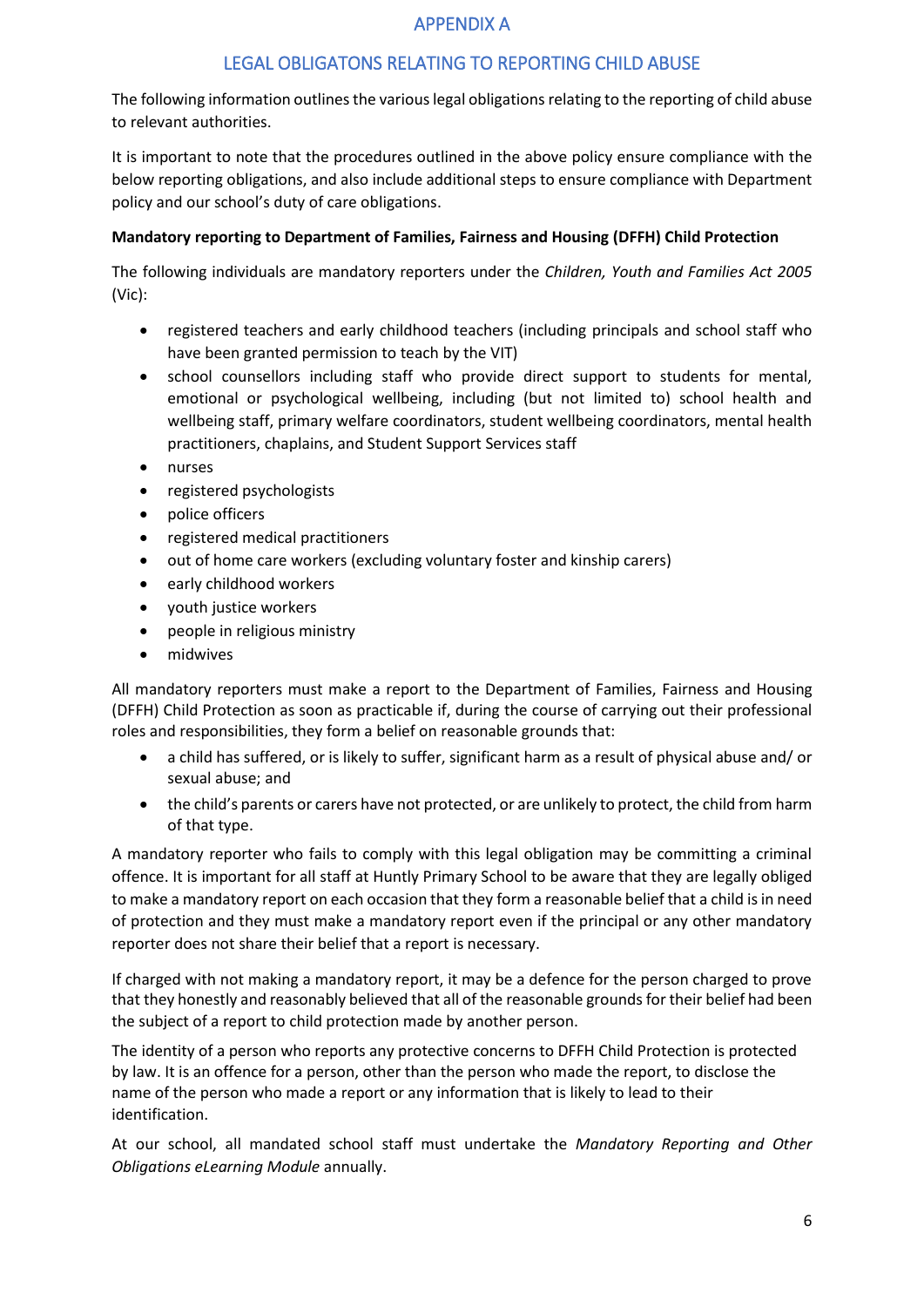## APPENDIX A

## LEGAL OBLIGATONS RELATING TO REPORTING CHILD ABUSE

The following information outlines the various legal obligations relating to the reporting of child abuse to relevant authorities.

It is important to note that the procedures outlined in the above policy ensure compliance with the below reporting obligations, and also include additional steps to ensure compliance with Department policy and our school's duty of care obligations.

#### **Mandatory reporting to Department of Families, Fairness and Housing (DFFH) Child Protection**

The following individuals are mandatory reporters under the *Children, Youth and Families Act 2005* (Vic):

- registered teachers and early childhood teachers (including principals and school staff who have been granted permission to teach by the VIT)
- school counsellors including staff who provide direct support to students for mental, emotional or psychological wellbeing, including (but not limited to) school health and wellbeing staff, primary welfare coordinators, student wellbeing coordinators, mental health practitioners, chaplains, and Student Support Services staff
- nurses
- registered psychologists
- police officers
- registered medical practitioners
- out of home care workers (excluding voluntary foster and kinship carers)
- early childhood workers
- youth justice workers
- people in religious ministry
- midwives

All mandatory reporters must make a report to the Department of Families, Fairness and Housing (DFFH) Child Protection as soon as practicable if, during the course of carrying out their professional roles and responsibilities, they form a belief on reasonable grounds that:

- a child has suffered, or is likely to suffer, significant harm as a result of physical abuse and/ or sexual abuse; and
- the child's parents or carers have not protected, or are unlikely to protect, the child from harm of that type.

A mandatory reporter who fails to comply with this legal obligation may be committing a criminal offence. It is important for all staff at Huntly Primary School to be aware that they are legally obliged to make a mandatory report on each occasion that they form a reasonable belief that a child is in need of protection and they must make a mandatory report even if the principal or any other mandatory reporter does not share their belief that a report is necessary.

If charged with not making a mandatory report, it may be a defence for the person charged to prove that they honestly and reasonably believed that all of the reasonable grounds for their belief had been the subject of a report to child protection made by another person.

The identity of a person who reports any protective concerns to DFFH Child Protection is protected by law. It is an offence for a person, other than the person who made the report, to disclose the name of the person who made a report or any information that is likely to lead to their identification.

At our school, all mandated school staff must undertake the *Mandatory Reporting and Other Obligations eLearning Module* annually.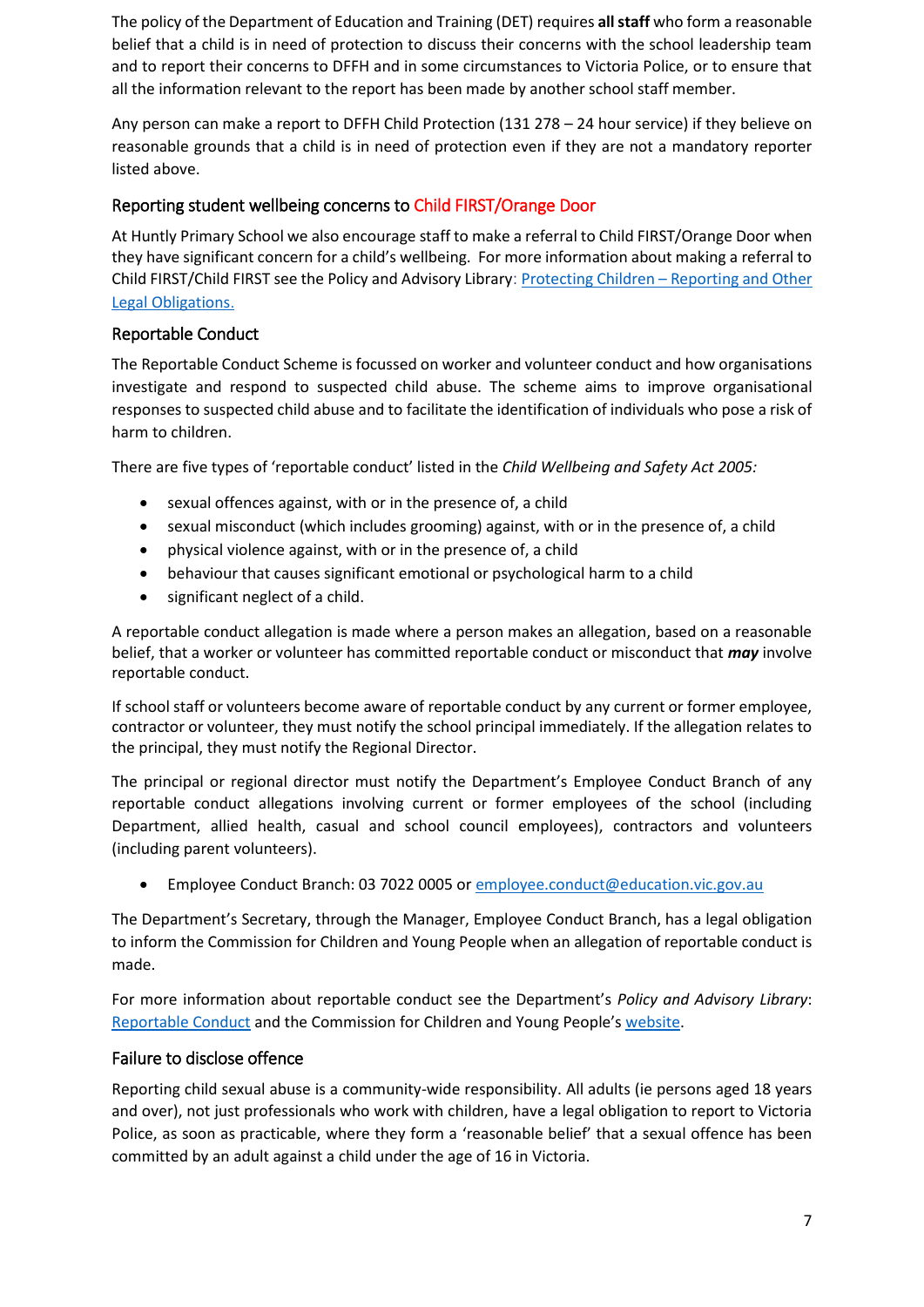The policy of the Department of Education and Training (DET) requires **all staff** who form a reasonable belief that a child is in need of protection to discuss their concerns with the school leadership team and to report their concerns to DFFH and in some circumstances to Victoria Police, or to ensure that all the information relevant to the report has been made by another school staff member.

Any person can make a report to DFFH Child Protection (131 278 – 24 hour service) if they believe on reasonable grounds that a child is in need of protection even if they are not a mandatory reporter listed above.

## Reporting student wellbeing concerns to Child FIRST/Orange Door

At Huntly Primary School we also encourage staff to make a referral to Child FIRST/Orange Door when they have significant concern for a child's wellbeing. For more information about making a referral to Child FIRST/Child FIRST see the Policy and Advisory Library: Protecting Children – [Reporting and Other](https://www2.education.vic.gov.au/pal/protecting-children/policy)  [Legal Obligations](https://www2.education.vic.gov.au/pal/protecting-children/policy).

### Reportable Conduct

The Reportable Conduct Scheme is focussed on worker and volunteer conduct and how organisations investigate and respond to suspected child abuse. The scheme aims to improve organisational responses to suspected child abuse and to facilitate the identification of individuals who pose a risk of harm to children.

There are five types of 'reportable conduct' listed in the *Child Wellbeing and Safety Act 2005:*

- sexual offences against, with or in the presence of, a child
- sexual misconduct (which includes grooming) against, with or in the presence of, a child
- physical violence against, with or in the presence of, a child
- behaviour that causes significant emotional or psychological harm to a child
- significant neglect of a child.

A reportable conduct allegation is made where a person makes an allegation, based on a reasonable belief, that a worker or volunteer has committed reportable conduct or misconduct that *may* involve reportable conduct.

If school staff or volunteers become aware of reportable conduct by any current or former employee, contractor or volunteer, they must notify the school principal immediately. If the allegation relates to the principal, they must notify the Regional Director.

The principal or regional director must notify the Department's Employee Conduct Branch of any reportable conduct allegations involving current or former employees of the school (including Department, allied health, casual and school council employees), contractors and volunteers (including parent volunteers).

• Employee Conduct Branch: 03 7022 0005 o[r employee.conduct@education.vic.gov.au](mailto:employee.conduct@education.vic.gov.au)

The Department's Secretary, through the Manager, Employee Conduct Branch, has a legal obligation to inform the Commission for Children and Young People when an allegation of reportable conduct is made.

For more information about reportable conduct see the Department's *Policy and Advisory Library*: [Reportable Conduct](https://www2.education.vic.gov.au/pal/reportable-conduct-scheme/policy) and the Commission for Children and Young People's [website.](https://ccyp.vic.gov.au/reportable-conduct-scheme/)

#### Failure to disclose offence

Reporting child sexual abuse is a community-wide responsibility. All adults (ie persons aged 18 years and over), not just professionals who work with children, have a legal obligation to report to Victoria Police, as soon as practicable, where they form a 'reasonable belief' that a sexual offence has been committed by an adult against a child under the age of 16 in Victoria.